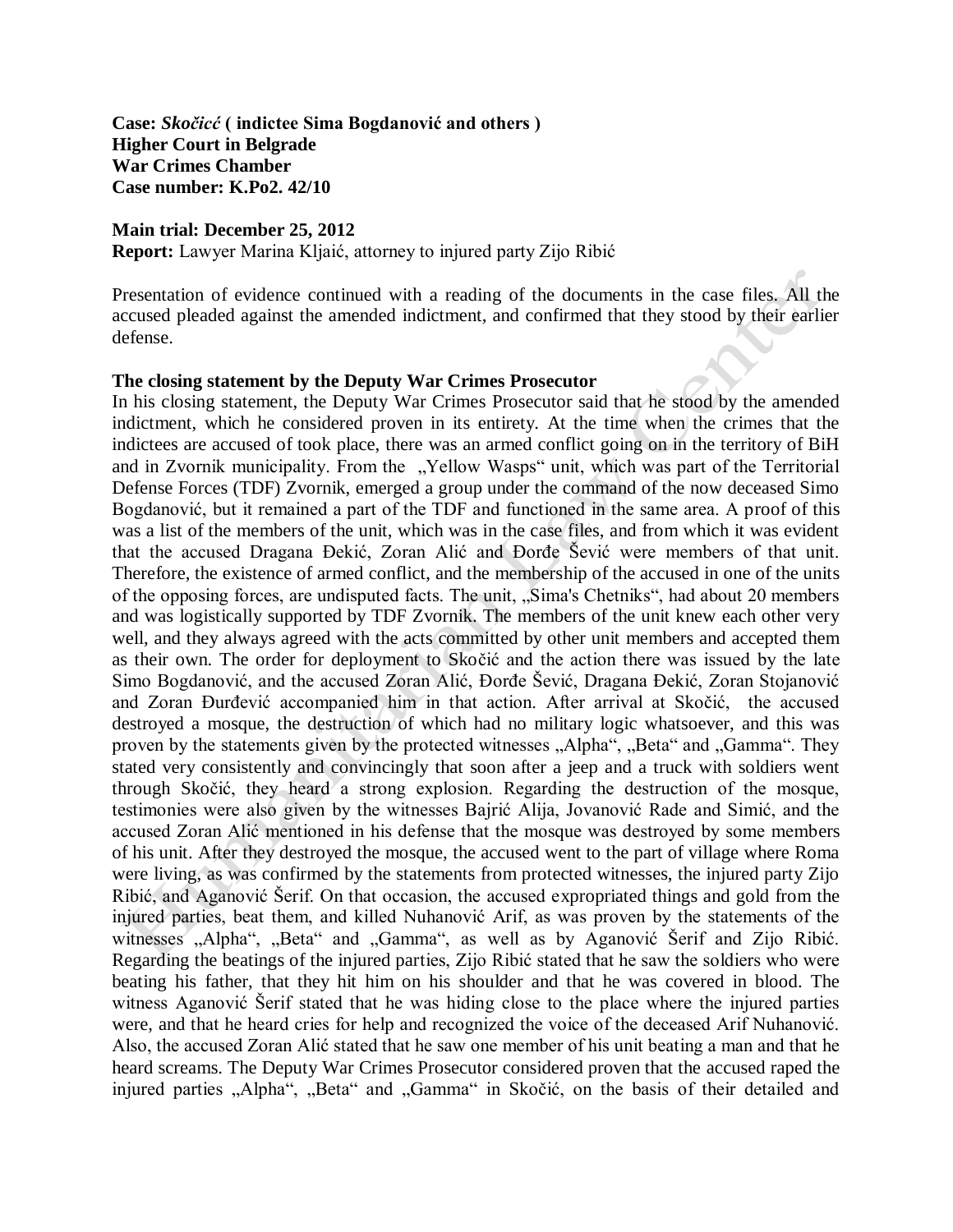**Case:** *Skočicć* **( indictee Sima Bogdanović and others ) Higher Court in Belgrade War Crimes Chamber Case number: K.Po2. 42/10** 

**Main trial: December 25, 2012**

**Report:** Lawyer Marina Kljaić, attorney to injured party Zijo Ribić

Presentation of evidence continued with a reading of the documents in the case files. All the accused pleaded against the amended indictment, and confirmed that they stood by their earlier defense.

## **The closing statement by the Deputy War Crimes Prosecutor**

In his closing statement, the Deputy War Crimes Prosecutor said that he stood by the amended indictment, which he considered proven in its entirety. At the time when the crimes that the indictees are accused of took place, there was an armed conflict going on in the territory of BiH and in Zvornik municipality. From the "Yellow Wasps" unit, which was part of the Territorial Defense Forces (TDF) Zvornik, emerged a group under the command of the now deceased Simo Bogdanović, but it remained a part of the TDF and functioned in the same area. A proof of this was a list of the members of the unit, which was in the case files, and from which it was evident that the accused Dragana Đekić, Zoran Alić and Đorđe Šević were members of that unit. Therefore, the existence of armed conflict, and the membership of the accused in one of the units of the opposing forces, are undisputed facts. The unit, "Sima's Chetniks", had about 20 members and was logistically supported by TDF Zvornik. The members of the unit knew each other very well, and they always agreed with the acts committed by other unit members and accepted them as their own. The order for deployment to Skočić and the action there was issued by the late Simo Bogdanović, and the accused Zoran Alić, Đorđe Šević, Dragana Đekić, Zoran Stojanović and Zoran Đurđević accompanied him in that action. After arrival at Skočić, the accused destroyed a mosque, the destruction of which had no military logic whatsoever, and this was proven by the statements given by the protected witnesses "Alpha", "Beta" and "Gamma". They stated very consistently and convincingly that soon after a jeep and a truck with soldiers went through Skočić, they heard a strong explosion. Regarding the destruction of the mosque, testimonies were also given by the witnesses Bajrić Alija, Jovanović Rade and Simić, and the accused Zoran Alić mentioned in his defense that the mosque was destroyed by some members of his unit. After they destroyed the mosque, the accused went to the part of village where Roma were living, as was confirmed by the statements from protected witnesses, the injured party Zijo Ribić, and Aganović Šerif. On that occasion, the accused expropriated things and gold from the injured parties, beat them, and killed Nuhanović Arif, as was proven by the statements of the witnesses "Alpha", "Beta" and "Gamma", as well as by Aganović Šerif and Zijo Ribić. Regarding the beatings of the injured parties, Zijo Ribić stated that he saw the soldiers who were beating his father, that they hit him on his shoulder and that he was covered in blood. The witness Aganović Šerif stated that he was hiding close to the place where the injured parties were, and that he heard cries for help and recognized the voice of the deceased Arif Nuhanović. Also, the accused Zoran Alić stated that he saw one member of his unit beating a man and that he heard screams. The Deputy War Crimes Prosecutor considered proven that the accused raped the injured parties "Alpha", "Beta" and "Gamma" in Skočić, on the basis of their detailed and